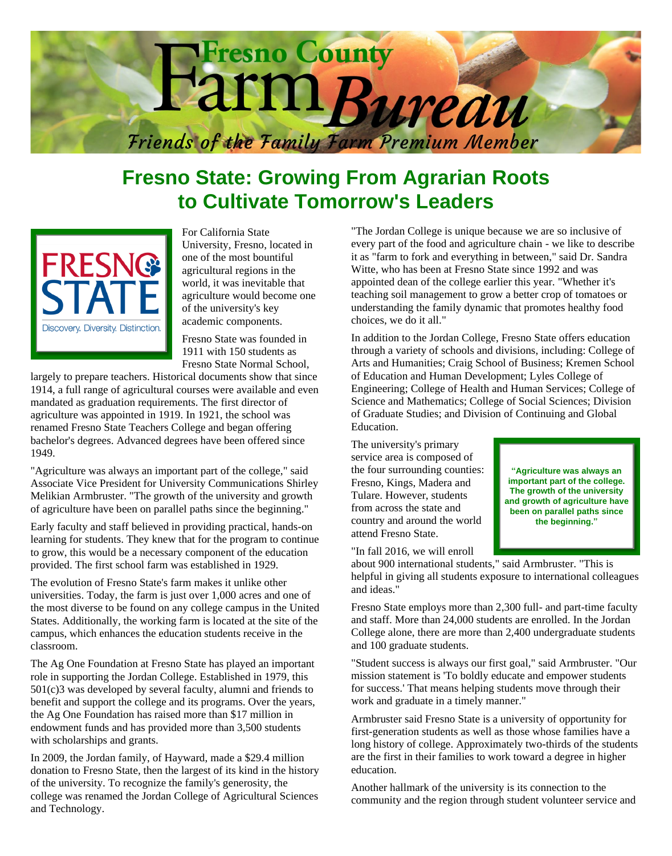

## **Fresno State: Growing From Agrarian Roots to Cultivate Tomorrow's Leaders**



For California State University, Fresno, located in one of the most bountiful agricultural regions in the world, it was inevitable that agriculture would become one of the university's key academic components.

Fresno State was founded in 1911 with 150 students as Fresno State Normal School,

largely to prepare teachers. Historical documents show that since 1914, a full range of agricultural courses were available and even mandated as graduation requirements. The first director of agriculture was appointed in 1919. In 1921, the school was renamed Fresno State Teachers College and began offering bachelor's degrees. Advanced degrees have been offered since 1949.

"Agriculture was always an important part of the college," said Associate Vice President for University Communications Shirley Melikian Armbruster. "The growth of the university and growth of agriculture have been on parallel paths since the beginning."

Early faculty and staff believed in providing practical, hands-on learning for students. They knew that for the program to continue to grow, this would be a necessary component of the education provided. The first school farm was established in 1929.

The evolution of Fresno State's farm makes it unlike other universities. Today, the farm is just over 1,000 acres and one of the most diverse to be found on any college campus in the United States. Additionally, the working farm is located at the site of the campus, which enhances the education students receive in the classroom.

The Ag One Foundation at Fresno State has played an important role in supporting the Jordan College. Established in 1979, this 501(c)3 was developed by several faculty, alumni and friends to benefit and support the college and its programs. Over the years, the Ag One Foundation has raised more than \$17 million in endowment funds and has provided more than 3,500 students with scholarships and grants.

In 2009, the Jordan family, of Hayward, made a \$29.4 million donation to Fresno State, then the largest of its kind in the history of the university. To recognize the family's generosity, the college was renamed the Jordan College of Agricultural Sciences and Technology.

"The Jordan College is unique because we are so inclusive of every part of the food and agriculture chain - we like to describe it as "farm to fork and everything in between," said Dr. Sandra Witte, who has been at Fresno State since 1992 and was appointed dean of the college earlier this year. "Whether it's teaching soil management to grow a better crop of tomatoes or understanding the family dynamic that promotes healthy food choices, we do it all."

In addition to the Jordan College, Fresno State offers education through a variety of schools and divisions, including: College of Arts and Humanities; Craig School of Business; Kremen School of Education and Human Development; Lyles College of Engineering; College of Health and Human Services; College of Science and Mathematics; College of Social Sciences; Division of Graduate Studies; and Division of Continuing and Global Education.

The university's primary service area is composed of the four surrounding counties: Fresno, Kings, Madera and Tulare. However, students from across the state and country and around the world attend Fresno State.

"In fall 2016, we will enroll

about 900 international students," said Armbruster. "This is helpful in giving all students exposure to international colleagues and ideas."

Fresno State employs more than 2,300 full- and part-time faculty and staff. More than 24,000 students are enrolled. In the Jordan College alone, there are more than 2,400 undergraduate students and 100 graduate students.

"Student success is always our first goal," said Armbruster. "Our mission statement is 'To boldly educate and empower students for success.' That means helping students move through their work and graduate in a timely manner."

Armbruster said Fresno State is a university of opportunity for first-generation students as well as those whose families have a long history of college. Approximately two-thirds of the students are the first in their families to work toward a degree in higher education.

Another hallmark of the university is its connection to the community and the region through student volunteer service and

**"Agriculture was always an important part of the college. The growth of the university and growth of agriculture have been on parallel paths since the beginning."**